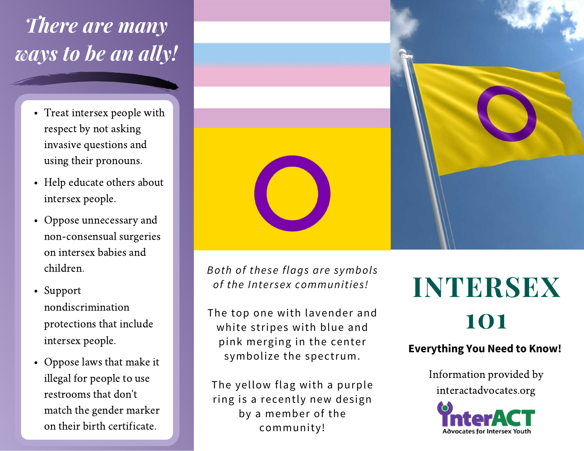# *There are many ways to be an ally!*

- Treat intersex people with respect by not asking invasive questions and using their pronouns.
- Help educate others about intersex people.
- Oppose unnecessary and non-consensual surgeries on intersex babies and children.
- Support nondiscrimination protections that include intersex people.
- Oppose laws that make it illegal for people to use restrooms that don't match the gender marker on their birth certificate.



*Both of these flags are symbols of the Intersex communities!*

The top one with lavender and white stripes with blue and pink merging in the center symbolize the spectrum.

The yellow flag with a purple ring is a recently new design by a member of the community!

# **INTERSEX 101**

# **Everything You Need to Know!**

Information provided by interactadvocates.org